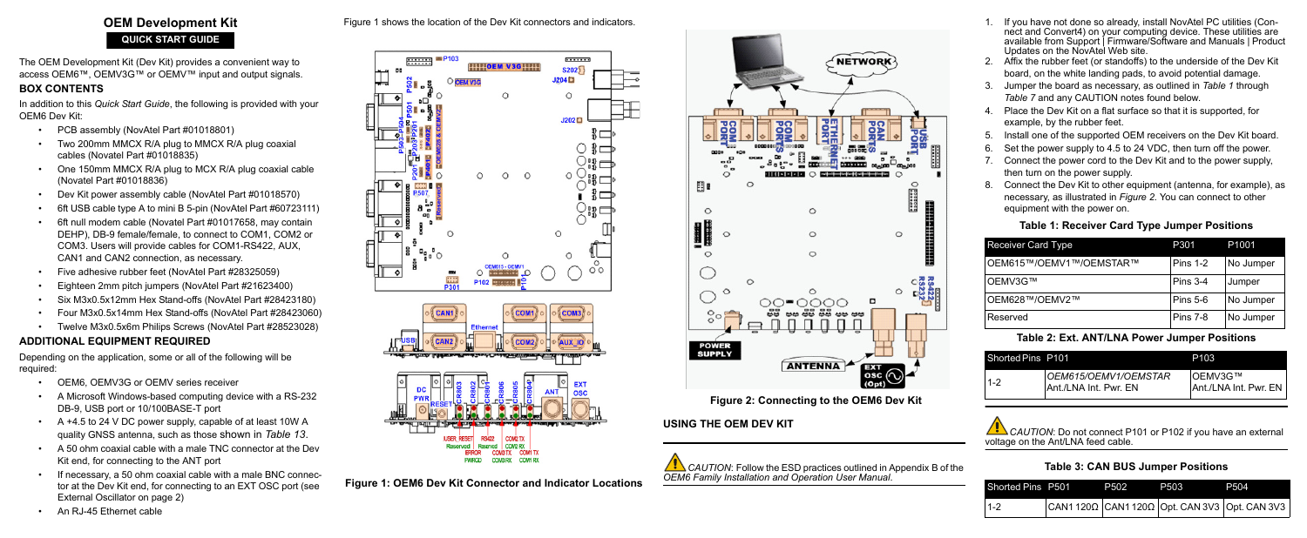The OEM Development Kit (Dev Kit) provides a convenient way to access OEM6™, OEMV3G™ or OEMV™ input and output signals.

## **BOX CONTENTS**

In addition to this *Quick Start Guide*, the following is provided with your OEM6 Dev Kit:

- PCB assembly (NovAtel Part #01018801)
- Two 200mm MMCX R/A plug to MMCX R/A plug coaxial cables (Novatel Part #01018835)
- One 150mm MMCX R/A plug to MCX R/A plug coaxial cable (Novatel Part #01018836)
- Dev Kit power assembly cable (NovAtel Part #01018570)
- 6ft USB cable type A to mini B 5-pin (NovAtel Part #60723111)
- 6ft null modem cable (Novatel Part #01017658, may contain DEHP), DB-9 female/female, to connect to COM1, COM2 or COM3. Users will provide cables for COM1-RS422, AUX, CAN1 and CAN2 connection, as necessary.
- Five adhesive rubber feet (NovAtel Part #28325059)
- Eighteen 2mm pitch jumpers (NovAtel Part #21623400)
- Six M3x0.5x12mm Hex Stand-offs (NovAtel Part #28423180)
- Four M3x0.5x14mm Hex Stand-offs (NovAtel Part #28423060)
- Twelve M3x0.5x6m Philips Screws (NovAtel Part #28523028)

# **ADDITIONAL EQUIPMENT REQUIRED**

Depending on the application, some or all of the following will be required:

- OEM6, OEMV3G or OEMV series receiver
- A Microsoft Windows-based computing device with a RS-232 DB-9, USB port or 10/100BASE-T port
- A +4.5 to 24 V DC power supply, capable of at least 10W A quality GNSS antenna, such as those shown in *[Table 13](#page-2-0)*.
- A 50 ohm coaxial cable with a male TNC connector at the Dev Kit end, for connecting to the ANT port
- If necessary, a 50 ohm coaxial cable with a male BNC connector at the Dev Kit end, for connecting to an EXT OSC port (see External Oscillator on page 2)
- If you have not done so already, install NovAtel PC utilities (Connect and Convert4) on your computing device. These utilities are available from Support | Firmware/Software and Manuals | Product Updates on the NovAtel Web site.
- 2. Affix the rubber feet (or standoffs) to the underside of the Dev Kit board, on the white landing pads, to avoid potential damage.
- 3. Jumper the board as necessary, as outlined in *[Table 1](#page-0-1)* through *[Table 7](#page-1-0)* and any CAUTION notes found below.
- 4. Place the Dev Kit on a flat surface so that it is supported, for example, by the rubber feet.
- 5. Install one of the supported OEM receivers on the Dev Kit board.
- 6. Set the power supply to 4.5 to 24 VDC, then turn off the power.
- 7. Connect the power cord to the Dev Kit and to the power supply, then turn on the power supply.
- 8. Connect the Dev Kit to other equipment (antenna, for example), as necessary, as illustrated in *[Figure 2](#page-0-0)*. You can connect to other equipment with the power on.

**CAUTION:** Do not connect P101 or P102 if you have an external voltage on the Ant/LNA feed cable.

# **OEM Development Kit QUICK START GUIDE**

• An RJ-45 Ethernet cable

Figure 1 shows the location of the Dev Kit connectors and indicators.







 **Figure 2: Connecting to the OEM6 Dev Kit**

<span id="page-0-0"></span>**USING THE OEM DEV KIT**



#### **Table 1: Receiver Card Type Jumper Positions**

## **Table 2: Ext. ANT/LNA Power Jumper Positions**

## **Table 3: CAN BUS Jumper Positions**

<span id="page-0-1"></span>

| <b>Receiver Card Type</b> | P301            | P <sub>1001</sub> |
|---------------------------|-----------------|-------------------|
| IOEM615™/OEMV1™/OEMSTAR™  | <b>Pins 1-2</b> | No Jumper         |
| <b>OEMV3G™</b>            | Pins 3-4        | Jumper            |
| IOEM628™/OEMV2™           | <b>Pins 5-6</b> | No Jumper         |
| Reserved                  | Pins 7-8        | No Jumper         |

| Shorted Pins P101 |                                                 | P <sub>103</sub>                  |
|-------------------|-------------------------------------------------|-----------------------------------|
| $1 - 2$           | IOEM615/OEMV1/OEMSTAR<br>IAnt./LNA Int. Pwr. EN | IOEMV3G™<br>Ant./LNA Int. Pwr. EN |

| Shorted Pins P501 | P502 | P <sub>503</sub> | P504                                                              |
|-------------------|------|------------------|-------------------------------------------------------------------|
| $1-2$             |      |                  | $ $ CAN1 120 $\Omega$ CAN1 120 $\Omega$ Opt. CAN 3V3 Opt. CAN 3V3 |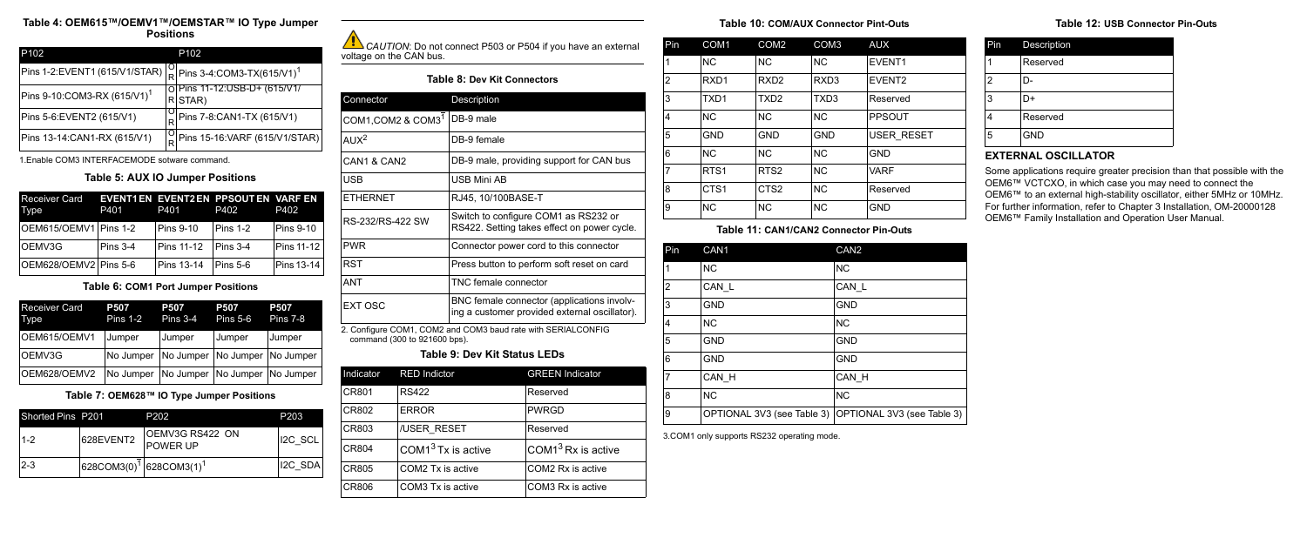## **Table 4: OEM615™/OEMV1™/OEMSTAR™ IO Type Jumper Positions**

## **Table 5: AUX IO Jumper Positions**

### **Table 6: COM1 Port Jumper Positions**

## **Table 7: OEM628™ IO Type Jumper Positions**



#### **Table 8: Dev Kit Connectors**

2. Configure COM1, COM2 and COM3 baud rate with SERIALCONFIG command (300 to 921600 bps).

### **Table 9: Dev Kit Status LEDs**

#### **Table 10: COM/AUX Connector Pint-Outs**

## **Table 11: CAN1/CAN2 Connector Pin-Outs**

3.COM1 only supports RS232 operating mode.

#### **Table 12: USB Connector Pin-Outs**

## **EXTERNAL OSCILLATOR**

Some applications require greater precision than that possible with the OEM6™ VCTCXO, in which case you may need to connect the OEM6™ to an external high-stability oscillator, either 5MHz or 10MHz. For further information, refer to Chapter 3 Installation, OM-20000128 OEM6™ Family Installation and Operation User Manual.



1.Enable COM3 INTERFACEMODE sotware command.

| P <sub>102</sub>                                                     | P <sub>102</sub>                                      |
|----------------------------------------------------------------------|-------------------------------------------------------|
| Pins 1-2:EVENT1 (615/V1/STAR) $\binom{ \mathcal{C} }{ \mathcal{C} }$ | Pins 3-4:COM3-TX(615/V1) <sup>1</sup>                 |
| Pins 9-10:COM3-RX (615/V1) <sup>1</sup>                              | O Pins 11-12:USB-D+ (615/V1/<br>STAR)<br>RI           |
| Pins 5-6:EVENT2 (615/V1)                                             | $\frac{\text{O}}{\text{R}}$ Pins 7-8:CAN1-TX (615/V1) |
| Pins 13-14:CAN1-RX (615/V1)                                          | Pins 15-16: VARF (615/V1/STAR)                        |

| Receiver Card<br>Type |                 | P401 P401 P402    | EVENT1 EN EVENT2 EN PPSOUT EN VARF EN | P402             |
|-----------------------|-----------------|-------------------|---------------------------------------|------------------|
| OEM615/OEMV1 Pins 1-2 |                 | Pins 9-10         | Pins 1-2                              | <b>Pins 9-10</b> |
| OEMV3G                | <b>Pins 3-4</b> | <b>Pins 11-12</b> | IPins 3-4                             | Pins 11-12       |
| OEM628/OEMV2 Pins 5-6 |                 | <b>Pins 13-14</b> | $Prins 5-6$                           | Pins 13-14       |

| <b>Receiver Card</b><br>Type | <b>P507</b><br><b>Pins 1-2</b> | <b>P507</b><br>Pins 3-4           | <b>P507</b><br><b>Pins 5-6</b> | <b>P507</b><br><b>Pins 7-8</b> |
|------------------------------|--------------------------------|-----------------------------------|--------------------------------|--------------------------------|
| OEM615/OEMV1                 | Jumper                         | Jumper                            | Jumper                         | Jumper                         |
| OEMV3G                       | No Jumper                      | No Jumper   No Jumper   No Jumper |                                |                                |
| OEM628/OEMV2                 | No Jumper                      | No Jumper No Jumper No Jumper     |                                |                                |

<span id="page-1-0"></span>

| Shorted Pins P201 |                                                 | P <sub>202</sub>              | P <sub>203</sub> |
|-------------------|-------------------------------------------------|-------------------------------|------------------|
| $1 - 2$           | 628EVENT2                                       | IOEMV3G RS422_ON<br>IPOWER UP | I2C SCL          |
| $2 - 3$           | 628COM3(0) <sup>1</sup> 628COM3(1) <sup>1</sup> |                               | I2C SDA          |

| Connector                                                                                                                                                                                                                                                                                                                                                                                                           | Description                                                                                 |  |  |
|---------------------------------------------------------------------------------------------------------------------------------------------------------------------------------------------------------------------------------------------------------------------------------------------------------------------------------------------------------------------------------------------------------------------|---------------------------------------------------------------------------------------------|--|--|
| COM1, COM2 & COM3 <sup>1</sup>                                                                                                                                                                                                                                                                                                                                                                                      | DB-9 male                                                                                   |  |  |
| AUX <sup>2</sup>                                                                                                                                                                                                                                                                                                                                                                                                    | DB-9 female                                                                                 |  |  |
| CAN1 & CAN2                                                                                                                                                                                                                                                                                                                                                                                                         | DB-9 male, providing support for CAN bus                                                    |  |  |
| USB                                                                                                                                                                                                                                                                                                                                                                                                                 | USB Mini AB                                                                                 |  |  |
| <b>ETHERNET</b>                                                                                                                                                                                                                                                                                                                                                                                                     | RJ45, 10/100BASE-T                                                                          |  |  |
| RS-232/RS-422 SW                                                                                                                                                                                                                                                                                                                                                                                                    | Switch to configure COM1 as RS232 or<br>RS422. Setting takes effect on power cycle.         |  |  |
| <b>PWR</b>                                                                                                                                                                                                                                                                                                                                                                                                          | Connector power cord to this connector                                                      |  |  |
| RST                                                                                                                                                                                                                                                                                                                                                                                                                 | Press button to perform soft reset on card                                                  |  |  |
| <b>ANT</b>                                                                                                                                                                                                                                                                                                                                                                                                          | TNC female connector                                                                        |  |  |
| <b>EXT OSC</b>                                                                                                                                                                                                                                                                                                                                                                                                      | BNC female connector (applications involv-<br>ing a customer provided external oscillator). |  |  |
| $\alpha$ , $\alpha$ , $\beta$ , $\ldots$ , $\alpha$ , $\alpha$ , $\alpha$ , $\alpha$ , $\alpha$ , $\alpha$ , $\alpha$ , $\alpha$ , $\alpha$ , $\alpha$ , $\alpha$ , $\alpha$ , $\alpha$ , $\alpha$ , $\alpha$ , $\alpha$ , $\alpha$ , $\alpha$ , $\alpha$ , $\alpha$ , $\alpha$ , $\alpha$ , $\alpha$ , $\alpha$ , $\alpha$ , $\alpha$ , $\alpha$ , $\alpha$ , $\alpha$ , $\alpha$ , $\alpha$ , $\alpha$ , $\alpha$ |                                                                                             |  |  |

| Indicator | <b>RED Indictor</b>   | <b>GREEN Indicator</b>         |
|-----------|-----------------------|--------------------------------|
| CR801     | <b>RS422</b>          | Reserved                       |
| CR802     | <b>ERROR</b>          | <b>PWRGD</b>                   |
| CR803     | /USER RESET           | Reserved                       |
| CR804     | COM1 $3$ Tx is active | COM1 <sup>3</sup> Rx is active |
| CR805     | COM2 Tx is active     | COM2 Rx is active              |
| CR806     | COM3 Tx is active     | COM3 Rx is active              |

| Pin            | COM <sub>1</sub> | COM2             | COM <sub>3</sub> | <b>AUX</b>         |
|----------------|------------------|------------------|------------------|--------------------|
| 1              | <b>NC</b>        | <b>NC</b>        | <b>NC</b>        | EVENT1             |
| $\overline{2}$ | RXD <sub>1</sub> | RXD <sub>2</sub> | RXD <sub>3</sub> | EVENT <sub>2</sub> |
| 3              | TXD <sub>1</sub> | TXD <sub>2</sub> | TXD <sub>3</sub> | Reserved           |
| 4              | NC               | N <sub>C</sub>   | N <sub>C</sub>   | <b>PPSOUT</b>      |
| 5              | GND              | <b>GND</b>       | <b>GND</b>       | <b>USER RESET</b>  |
| 6              | <b>NC</b>        | <b>NC</b>        | <b>NC</b>        | <b>GND</b>         |
| $\overline{7}$ | RTS <sub>1</sub> | RTS <sub>2</sub> | <b>NC</b>        | <b>VARF</b>        |
| 8              | CTS <sub>1</sub> | CTS <sub>2</sub> | <b>NC</b>        | Reserved           |
| 9              | <b>NC</b>        | <b>NC</b>        | <b>NC</b>        | <b>GND</b>         |

| Pin            | CAN <sub>1</sub>                                      | CAN <sub>2</sub> |
|----------------|-------------------------------------------------------|------------------|
| 1              | <b>NC</b>                                             | <b>NC</b>        |
| $\overline{2}$ | CAN L                                                 | CAN L            |
| 3              | <b>GND</b>                                            | <b>GND</b>       |
| 4              | <b>NC</b>                                             | <b>NC</b>        |
| 5              | <b>GND</b>                                            | <b>GND</b>       |
| 6              | <b>GND</b>                                            | <b>GND</b>       |
| $\overline{7}$ | CAN H                                                 | CAN H            |
| 8              | <b>NC</b>                                             | <b>NC</b>        |
| 9              | OPTIONAL 3V3 (see Table 3) OPTIONAL 3V3 (see Table 3) |                  |

| Pin. | Description |
|------|-------------|
|      | Reserved    |
| 2    |             |
| 3    | D+          |
|      | Reserved    |
| 5    | <b>GND</b>  |